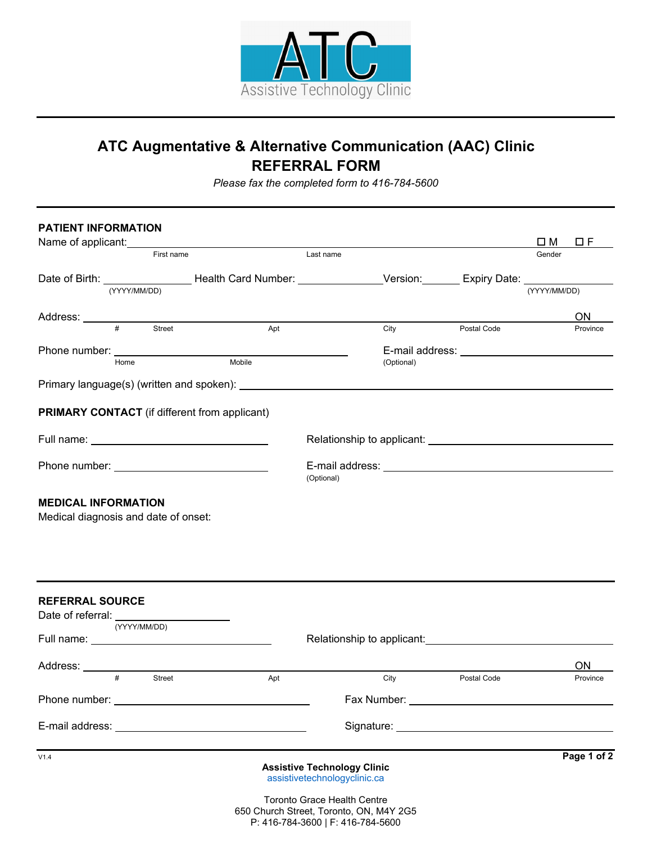

## **ATC Augmentative & Alternative Communication (AAC) Clinic REFERRAL FORM**

*Please fax the completed form to 416-784-5600*

| <b>PATIENT INFORMATION</b>                                         |              |            | Name of applicant: <u>contained and all property</u> and all property and all property and all property and all property and all property and all property and all property and all property and all property and all property and |            |            |             | $\square$ M  | $\Box F$ |
|--------------------------------------------------------------------|--------------|------------|------------------------------------------------------------------------------------------------------------------------------------------------------------------------------------------------------------------------------------|------------|------------|-------------|--------------|----------|
|                                                                    |              | First name |                                                                                                                                                                                                                                    | Last name  |            |             | Gender       |          |
|                                                                    | (YYYY/MM/DD) |            | Date of Birth: ___________________Health Card Number: __________________Version: _______ Expiry Date: _____________                                                                                                                |            |            |             | (YYYY/MM/DD) |          |
|                                                                    |              |            |                                                                                                                                                                                                                                    |            |            |             |              | ON.      |
|                                                                    | #            | Street     | Apt                                                                                                                                                                                                                                |            | City       | Postal Code |              | Province |
|                                                                    |              |            |                                                                                                                                                                                                                                    |            |            |             |              |          |
|                                                                    | Home         |            | Mobile                                                                                                                                                                                                                             |            | (Optional) |             |              |          |
|                                                                    |              |            |                                                                                                                                                                                                                                    |            |            |             |              |          |
|                                                                    |              |            | <b>PRIMARY CONTACT</b> (if different from applicant)                                                                                                                                                                               |            |            |             |              |          |
|                                                                    |              |            |                                                                                                                                                                                                                                    |            |            |             |              |          |
|                                                                    |              |            | Phone number: <u>_________________________________</u>                                                                                                                                                                             | (Optional) |            |             |              |          |
| <b>MEDICAL INFORMATION</b><br>Medical diagnosis and date of onset: |              |            |                                                                                                                                                                                                                                    |            |            |             |              |          |

| <b>REFERRAL SOURCE</b> |   | Date of referral: ______________________ |                                    |      |             |             |
|------------------------|---|------------------------------------------|------------------------------------|------|-------------|-------------|
|                        |   | (YYYY/MM/DD)                             |                                    |      |             |             |
|                        |   |                                          |                                    |      |             |             |
|                        |   |                                          |                                    |      |             | <b>ON</b>   |
|                        | # | <b>Street</b>                            | Apt                                | City | Postal Code | Province    |
|                        |   |                                          |                                    |      |             |             |
|                        |   |                                          |                                    |      |             |             |
| V1.4                   |   |                                          | <b>Assistive Technology Clinic</b> |      |             | Page 1 of 2 |
|                        |   |                                          | assistivetechnologyclinic.ca       |      |             |             |
|                        |   |                                          | Texante Overea Health Centre       |      |             |             |